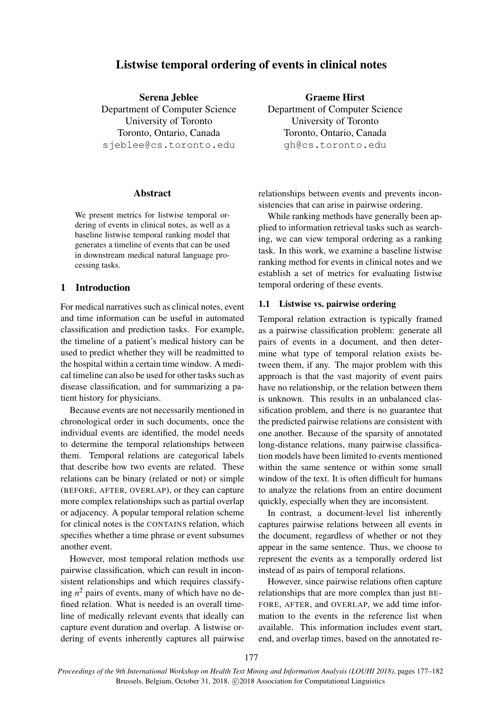# Listwise temporal ordering of events in clinical notes

Serena Jeblee Department of Computer Science University of Toronto Toronto, Ontario, Canada sjeblee@cs.toronto.edu

### Abstract

We present metrics for listwise temporal ordering of events in clinical notes, as well as a baseline listwise temporal ranking model that generates a timeline of events that can be used in downstream medical natural language processing tasks.

### 1 Introduction

For medical narratives such as clinical notes, event and time information can be useful in automated classification and prediction tasks. For example, the timeline of a patient's medical history can be used to predict whether they will be readmitted to the hospital within a certain time window. A medical timeline can also be used for other tasks such as disease classification, and for summarizing a patient history for physicians.

Because events are not necessarily mentioned in chronological order in such documents, once the individual events are identified, the model needs to determine the temporal relationships between them. Temporal relations are categorical labels that describe how two events are related. These relations can be binary (related or not) or simple (BEFORE, AFTER, OVERLAP), or they can capture more complex relationships such as partial overlap or adjacency. A popular temporal relation scheme for clinical notes is the CONTAINS relation, which specifies whether a time phrase or event subsumes another event.

However, most temporal relation methods use pairwise classification, which can result in inconsistent relationships and which requires classifying  $n^2$  pairs of events, many of which have no defined relation. What is needed is an overall timeline of medically relevant events that ideally can capture event duration and overlap. A listwise ordering of events inherently captures all pairwise

Graeme Hirst Department of Computer Science University of Toronto Toronto, Ontario, Canada gh@cs.toronto.edu

relationships between events and prevents inconsistencies that can arise in pairwise ordering.

While ranking methods have generally been applied to information retrieval tasks such as searching, we can view temporal ordering as a ranking task. In this work, we examine a baseline listwise ranking method for events in clinical notes and we establish a set of metrics for evaluating listwise temporal ordering of these events.

#### 1.1 Listwise vs. pairwise ordering

Temporal relation extraction is typically framed as a pairwise classification problem: generate all pairs of events in a document, and then determine what type of temporal relation exists between them, if any. The major problem with this approach is that the vast majority of event pairs have no relationship, or the relation between them is unknown. This results in an unbalanced classification problem, and there is no guarantee that the predicted pairwise relations are consistent with one another. Because of the sparsity of annotated long-distance relations, many pairwise classification models have been limited to events mentioned within the same sentence or within some small window of the text. It is often difficult for humans to analyze the relations from an entire document quickly, especially when they are inconsistent.

In contrast, a document-level list inherently captures pairwise relations between all events in the document, regardless of whether or not they appear in the same sentence. Thus, we choose to represent the events as a temporally ordered list instead of as pairs of temporal relations.

However, since pairwise relations often capture relationships that are more complex than just BE-FORE, AFTER, and OVERLAP, we add time information to the events in the reference list when available. This information includes event start, end, and overlap times, based on the annotated re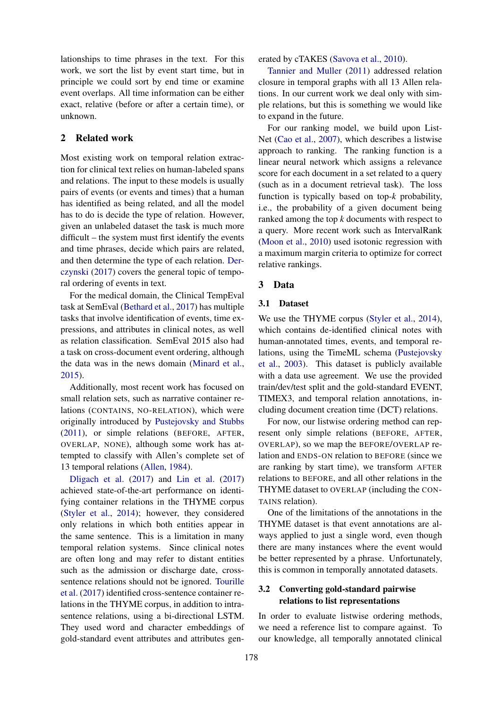lationships to time phrases in the text. For this work, we sort the list by event start time, but in principle we could sort by end time or examine event overlaps. All time information can be either exact, relative (before or after a certain time), or unknown.

# 2 Related work

Most existing work on temporal relation extraction for clinical text relies on human-labeled spans and relations. The input to these models is usually pairs of events (or events and times) that a human has identified as being related, and all the model has to do is decide the type of relation. However, given an unlabeled dataset the task is much more difficult – the system must first identify the events and time phrases, decide which pairs are related, and then determine the type of each relation. [Der](#page-4-0)[czynski](#page-4-0) [\(2017\)](#page-4-0) covers the general topic of temporal ordering of events in text.

For the medical domain, the Clinical TempEval task at SemEval [\(Bethard et al.,](#page-4-1) [2017\)](#page-4-1) has multiple tasks that involve identification of events, time expressions, and attributes in clinical notes, as well as relation classification. SemEval 2015 also had a task on cross-document event ordering, although the data was in the news domain [\(Minard et al.,](#page-4-2) [2015\)](#page-4-2).

Additionally, most recent work has focused on small relation sets, such as narrative container relations (CONTAINS, NO-RELATION), which were originally introduced by [Pustejovsky and Stubbs](#page-5-0) [\(2011\)](#page-5-0), or simple relations (BEFORE, AFTER, OVERLAP, NONE), although some work has attempted to classify with Allen's complete set of 13 temporal relations [\(Allen,](#page-4-3) [1984\)](#page-4-3).

[Dligach et al.](#page-4-4) [\(2017\)](#page-4-4) and [Lin et al.](#page-4-5) [\(2017\)](#page-4-5) achieved state-of-the-art performance on identifying container relations in the THYME corpus [\(Styler et al.,](#page-5-1) [2014\)](#page-5-1); however, they considered only relations in which both entities appear in the same sentence. This is a limitation in many temporal relation systems. Since clinical notes are often long and may refer to distant entities such as the admission or discharge date, crosssentence relations should not be ignored. [Tourille](#page-5-2) [et al.](#page-5-2) [\(2017\)](#page-5-2) identified cross-sentence container relations in the THYME corpus, in addition to intrasentence relations, using a bi-directional LSTM. They used word and character embeddings of gold-standard event attributes and attributes generated by cTAKES [\(Savova et al.,](#page-5-3) [2010\)](#page-5-3).

[Tannier and Muller](#page-5-4) [\(2011\)](#page-5-4) addressed relation closure in temporal graphs with all 13 Allen relations. In our current work we deal only with simple relations, but this is something we would like to expand in the future.

For our ranking model, we build upon List-Net [\(Cao et al.,](#page-4-6) [2007\)](#page-4-6), which describes a listwise approach to ranking. The ranking function is a linear neural network which assigns a relevance score for each document in a set related to a query (such as in a document retrieval task). The loss function is typically based on top-*k* probability, i.e., the probability of a given document being ranked among the top *k* documents with respect to a query. More recent work such as IntervalRank [\(Moon et al.,](#page-4-7) [2010\)](#page-4-7) used isotonic regression with a maximum margin criteria to optimize for correct relative rankings.

### 3 Data

#### 3.1 Dataset

We use the THYME corpus [\(Styler et al.,](#page-5-1) [2014\)](#page-5-1), which contains de-identified clinical notes with human-annotated times, events, and temporal relations, using the TimeML schema [\(Pustejovsky](#page-4-8) [et al.,](#page-4-8) [2003\)](#page-4-8). This dataset is publicly available with a data use agreement. We use the provided train/dev/test split and the gold-standard EVENT, TIMEX3, and temporal relation annotations, including document creation time (DCT) relations.

For now, our listwise ordering method can represent only simple relations (BEFORE, AFTER, OVERLAP), so we map the BEFORE/OVERLAP relation and ENDS-ON relation to BEFORE (since we are ranking by start time), we transform AFTER relations to BEFORE, and all other relations in the THYME dataset to OVERLAP (including the CON-TAINS relation).

One of the limitations of the annotations in the THYME dataset is that event annotations are always applied to just a single word, even though there are many instances where the event would be better represented by a phrase. Unfortunately, this is common in temporally annotated datasets.

# 3.2 Converting gold-standard pairwise relations to list representations

In order to evaluate listwise ordering methods, we need a reference list to compare against. To our knowledge, all temporally annotated clinical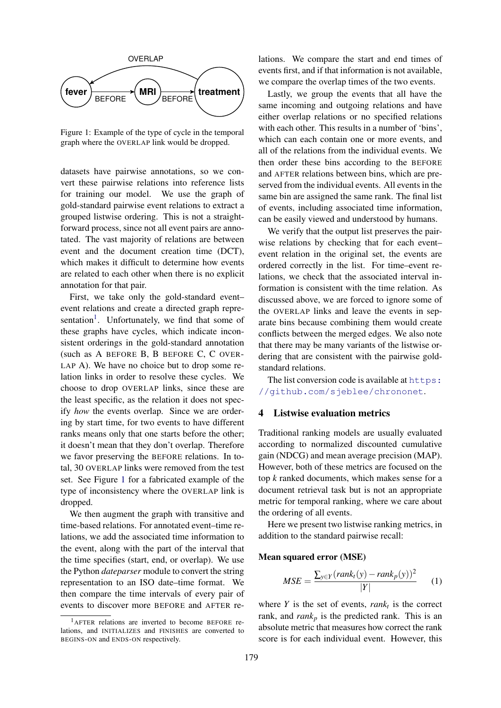

<span id="page-2-1"></span>Figure 1: Example of the type of cycle in the temporal graph where the OVERLAP link would be dropped.

datasets have pairwise annotations, so we convert these pairwise relations into reference lists for training our model. We use the graph of gold-standard pairwise event relations to extract a grouped listwise ordering. This is not a straightforward process, since not all event pairs are annotated. The vast majority of relations are between event and the document creation time (DCT), which makes it difficult to determine how events are related to each other when there is no explicit annotation for that pair.

First, we take only the gold-standard event– event relations and create a directed graph repre-sentation<sup>[1](#page-2-0)</sup>. Unfortunately, we find that some of these graphs have cycles, which indicate inconsistent orderings in the gold-standard annotation (such as A BEFORE B, B BEFORE C, C OVER-LAP A). We have no choice but to drop some relation links in order to resolve these cycles. We choose to drop OVERLAP links, since these are the least specific, as the relation it does not specify *how* the events overlap. Since we are ordering by start time, for two events to have different ranks means only that one starts before the other; it doesn't mean that they don't overlap. Therefore we favor preserving the BEFORE relations. In total, 30 OVERLAP links were removed from the test set. See Figure [1](#page-2-1) for a fabricated example of the type of inconsistency where the OVERLAP link is dropped.

We then augment the graph with transitive and time-based relations. For annotated event–time relations, we add the associated time information to the event, along with the part of the interval that the time specifies (start, end, or overlap). We use the Python *dateparser* module to convert the string representation to an ISO date–time format. We then compare the time intervals of every pair of events to discover more BEFORE and AFTER relations. We compare the start and end times of events first, and if that information is not available, we compare the overlap times of the two events.

Lastly, we group the events that all have the same incoming and outgoing relations and have either overlap relations or no specified relations with each other. This results in a number of 'bins', which can each contain one or more events, and all of the relations from the individual events. We then order these bins according to the BEFORE and AFTER relations between bins, which are preserved from the individual events. All events in the same bin are assigned the same rank. The final list of events, including associated time information, can be easily viewed and understood by humans.

We verify that the output list preserves the pairwise relations by checking that for each event– event relation in the original set, the events are ordered correctly in the list. For time–event relations, we check that the associated interval information is consistent with the time relation. As discussed above, we are forced to ignore some of the OVERLAP links and leave the events in separate bins because combining them would create conflicts between the merged edges. We also note that there may be many variants of the listwise ordering that are consistent with the pairwise goldstandard relations.

The list conversion code is available at [https:](https://github.com/sjeblee/chrononet) [//github.com/sjeblee/chrononet](https://github.com/sjeblee/chrononet).

# 4 Listwise evaluation metrics

Traditional ranking models are usually evaluated according to normalized discounted cumulative gain (NDCG) and mean average precision (MAP). However, both of these metrics are focused on the top *k* ranked documents, which makes sense for a document retrieval task but is not an appropriate metric for temporal ranking, where we care about the ordering of all events.

Here we present two listwise ranking metrics, in addition to the standard pairwise recall:

#### Mean squared error (MSE)

$$
MSE = \frac{\sum_{y \in Y} (rank_t(y) - rank_p(y))^2}{|Y|} \qquad (1)
$$

where  $Y$  is the set of events,  $rank_t$  is the correct rank, and  $rank_p$  is the predicted rank. This is an absolute metric that measures how correct the rank score is for each individual event. However, this

<span id="page-2-0"></span><sup>1</sup>AFTER relations are inverted to become BEFORE relations, and INITIALIZES and FINISHES are converted to BEGINS-ON and ENDS-ON respectively.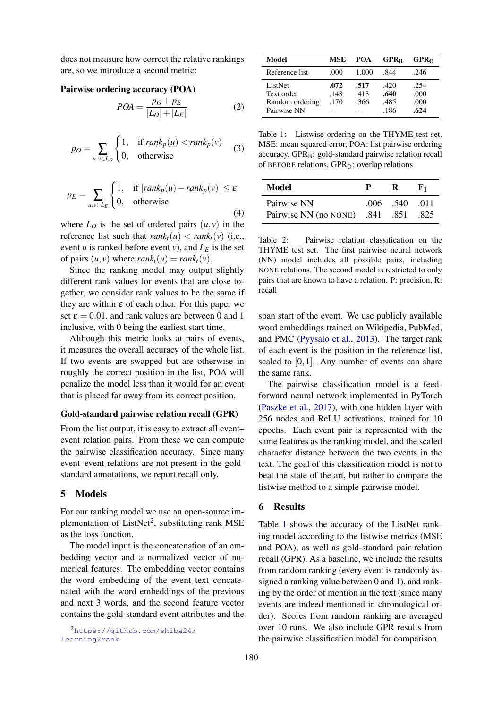does not measure how correct the relative rankings are, so we introduce a second metric:

# Pairwise ordering accuracy (POA)

$$
POA = \frac{Po + p_E}{|L_O| + |L_E|}
$$
 (2)

$$
p_O = \sum_{u,v \in L_O} \begin{cases} 1, & \text{if } rank_p(u) < rank_p(v) \\ 0, & \text{otherwise} \end{cases} \tag{3}
$$

$$
p_E = \sum_{u,v \in L_E} \begin{cases} 1, & \text{if } |rank_p(u) - rank_p(v)| \le \varepsilon \\ 0, & \text{otherwise} \end{cases}
$$
(4)

where  $L_0$  is the set of ordered pairs  $(u, v)$  in the reference list such that  $rank_t(u) < rank_t(v)$  (i.e., event *u* is ranked before event *v*), and  $L_E$  is the set of pairs  $(u, v)$  where  $rank_t(u) = rank_t(v)$ .

Since the ranking model may output slightly different rank values for events that are close together, we consider rank values to be the same if they are within  $\varepsilon$  of each other. For this paper we set  $\varepsilon = 0.01$ , and rank values are between 0 and 1 inclusive, with 0 being the earliest start time.

Although this metric looks at pairs of events, it measures the overall accuracy of the whole list. If two events are swapped but are otherwise in roughly the correct position in the list, POA will penalize the model less than it would for an event that is placed far away from its correct position.

#### Gold-standard pairwise relation recall (GPR)

From the list output, it is easy to extract all event– event relation pairs. From these we can compute the pairwise classification accuracy. Since many event–event relations are not present in the goldstandard annotations, we report recall only.

#### 5 Models

For our ranking model we use an open-source im-plementation of ListNet<sup>[2](#page-3-0)</sup>, substituting rank MSE as the loss function.

The model input is the concatenation of an embedding vector and a normalized vector of numerical features. The embedding vector contains the word embedding of the event text concatenated with the word embeddings of the previous and next 3 words, and the second feature vector contains the gold-standard event attributes and the

| Model                                                   | MSE                  | POA                  | $GPR_R$                      | GPR <sub>0</sub>             |
|---------------------------------------------------------|----------------------|----------------------|------------------------------|------------------------------|
| Reference list                                          | .000                 | 1.000                | .844                         | .246                         |
| ListNet<br>Text order<br>Random ordering<br>Pairwise NN | .072<br>.148<br>.170 | .517<br>.413<br>.366 | .420<br>.640<br>.485<br>.186 | .254<br>.000<br>.000<br>.624 |

<span id="page-3-1"></span>Table 1: Listwise ordering on the THYME test set. MSE: mean squared error, POA: list pairwise ordering  $accuracy, GPR_B: gold-standard$  pairwise relation recall of BEFORE relations,  $GPR<sub>O</sub>$ : overlap relations

| Model                                | P. | R.               | К1 |
|--------------------------------------|----|------------------|----|
| Pairwise NN                          |    | $.006$ .540 .011 |    |
| Pairwise NN (no NONE) .841 .851 .825 |    |                  |    |

<span id="page-3-2"></span>Table 2: Pairwise relation classification on the THYME test set. The first pairwise neural network (NN) model includes all possible pairs, including NONE relations. The second model is restricted to only pairs that are known to have a relation. P: precision, R: recall

span start of the event. We use publicly available word embeddings trained on Wikipedia, PubMed, and PMC [\(Pyysalo et al.,](#page-5-5) [2013\)](#page-5-5). The target rank of each event is the position in the reference list, scaled to  $[0,1]$ . Any number of events can share the same rank.

The pairwise classification model is a feedforward neural network implemented in PyTorch [\(Paszke et al.,](#page-4-9) [2017\)](#page-4-9), with one hidden layer with 256 nodes and ReLU activations, trained for 10 epochs. Each event pair is represented with the same features as the ranking model, and the scaled character distance between the two events in the text. The goal of this classification model is not to beat the state of the art, but rather to compare the listwise method to a simple pairwise model.

#### 6 Results

Table [1](#page-3-1) shows the accuracy of the ListNet ranking model according to the listwise metrics (MSE and POA), as well as gold-standard pair relation recall (GPR). As a baseline, we include the results from random ranking (every event is randomly assigned a ranking value between 0 and 1), and ranking by the order of mention in the text (since many events are indeed mentioned in chronological order). Scores from random ranking are averaged over 10 runs. We also include GPR results from the pairwise classification model for comparison.

<span id="page-3-0"></span><sup>2</sup>[https://github.com/shiba24/](https://github.com/shiba24/learning2rank) [learning2rank](https://github.com/shiba24/learning2rank)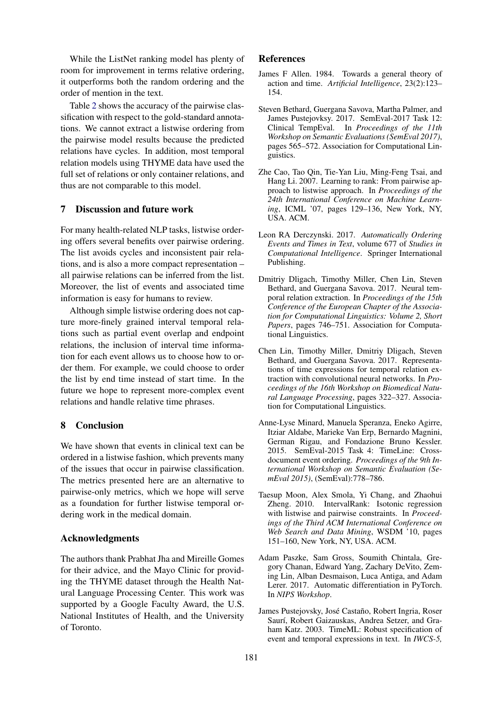While the ListNet ranking model has plenty of room for improvement in terms relative ordering, it outperforms both the random ordering and the order of mention in the text.

Table [2](#page-3-2) shows the accuracy of the pairwise classification with respect to the gold-standard annotations. We cannot extract a listwise ordering from the pairwise model results because the predicted relations have cycles. In addition, most temporal relation models using THYME data have used the full set of relations or only container relations, and thus are not comparable to this model.

# 7 Discussion and future work

For many health-related NLP tasks, listwise ordering offers several benefits over pairwise ordering. The list avoids cycles and inconsistent pair relations, and is also a more compact representation – all pairwise relations can be inferred from the list. Moreover, the list of events and associated time information is easy for humans to review.

Although simple listwise ordering does not capture more-finely grained interval temporal relations such as partial event overlap and endpoint relations, the inclusion of interval time information for each event allows us to choose how to order them. For example, we could choose to order the list by end time instead of start time. In the future we hope to represent more-complex event relations and handle relative time phrases.

# 8 Conclusion

We have shown that events in clinical text can be ordered in a listwise fashion, which prevents many of the issues that occur in pairwise classification. The metrics presented here are an alternative to pairwise-only metrics, which we hope will serve as a foundation for further listwise temporal ordering work in the medical domain.

# Acknowledgments

The authors thank Prabhat Jha and Mireille Gomes for their advice, and the Mayo Clinic for providing the THYME dataset through the Health Natural Language Processing Center. This work was supported by a Google Faculty Award, the U.S. National Institutes of Health, and the University of Toronto.

### References

- <span id="page-4-3"></span>James F Allen. 1984. Towards a general theory of action and time. *Artificial Intelligence*, 23(2):123– 154.
- <span id="page-4-1"></span>Steven Bethard, Guergana Savova, Martha Palmer, and James Pustejovksy. 2017. SemEval-2017 Task 12: Clinical TempEval. In *Proceedings of the 11th Workshop on Semantic Evaluations (SemEval 2017)*, pages 565–572. Association for Computational Linguistics.
- <span id="page-4-6"></span>Zhe Cao, Tao Qin, Tie-Yan Liu, Ming-Feng Tsai, and Hang Li. 2007. Learning to rank: From pairwise approach to listwise approach. In *Proceedings of the 24th International Conference on Machine Learning*, ICML '07, pages 129–136, New York, NY, USA. ACM.
- <span id="page-4-0"></span>Leon RA Derczynski. 2017. *Automatically Ordering Events and Times in Text*, volume 677 of *Studies in Computational Intelligence*. Springer International Publishing.
- <span id="page-4-4"></span>Dmitriy Dligach, Timothy Miller, Chen Lin, Steven Bethard, and Guergana Savova. 2017. Neural temporal relation extraction. In *Proceedings of the 15th Conference of the European Chapter of the Association for Computational Linguistics: Volume 2, Short Papers*, pages 746–751. Association for Computational Linguistics.
- <span id="page-4-5"></span>Chen Lin, Timothy Miller, Dmitriy Dligach, Steven Bethard, and Guergana Savova. 2017. Representations of time expressions for temporal relation extraction with convolutional neural networks. In *Proceedings of the 16th Workshop on Biomedical Natural Language Processing*, pages 322–327. Association for Computational Linguistics.
- <span id="page-4-2"></span>Anne-Lyse Minard, Manuela Speranza, Eneko Agirre, Itziar Aldabe, Marieke Van Erp, Bernardo Magnini, German Rigau, and Fondazione Bruno Kessler. 2015. SemEval-2015 Task 4: TimeLine: Crossdocument event ordering. *Proceedings of the 9th International Workshop on Semantic Evaluation (SemEval 2015)*, (SemEval):778–786.
- <span id="page-4-7"></span>Taesup Moon, Alex Smola, Yi Chang, and Zhaohui Zheng. 2010. IntervalRank: Isotonic regression with listwise and pairwise constraints. In *Proceedings of the Third ACM International Conference on Web Search and Data Mining*, WSDM '10, pages 151–160, New York, NY, USA. ACM.
- <span id="page-4-9"></span>Adam Paszke, Sam Gross, Soumith Chintala, Gregory Chanan, Edward Yang, Zachary DeVito, Zeming Lin, Alban Desmaison, Luca Antiga, and Adam Lerer. 2017. Automatic differentiation in PyTorch. In *NIPS Workshop*.
- <span id="page-4-8"></span>James Pustejovsky, José Castaño, Robert Ingria, Roser Saurí, Robert Gaizauskas, Andrea Setzer, and Graham Katz. 2003. TimeML: Robust specification of event and temporal expressions in text. In *IWCS-5,*